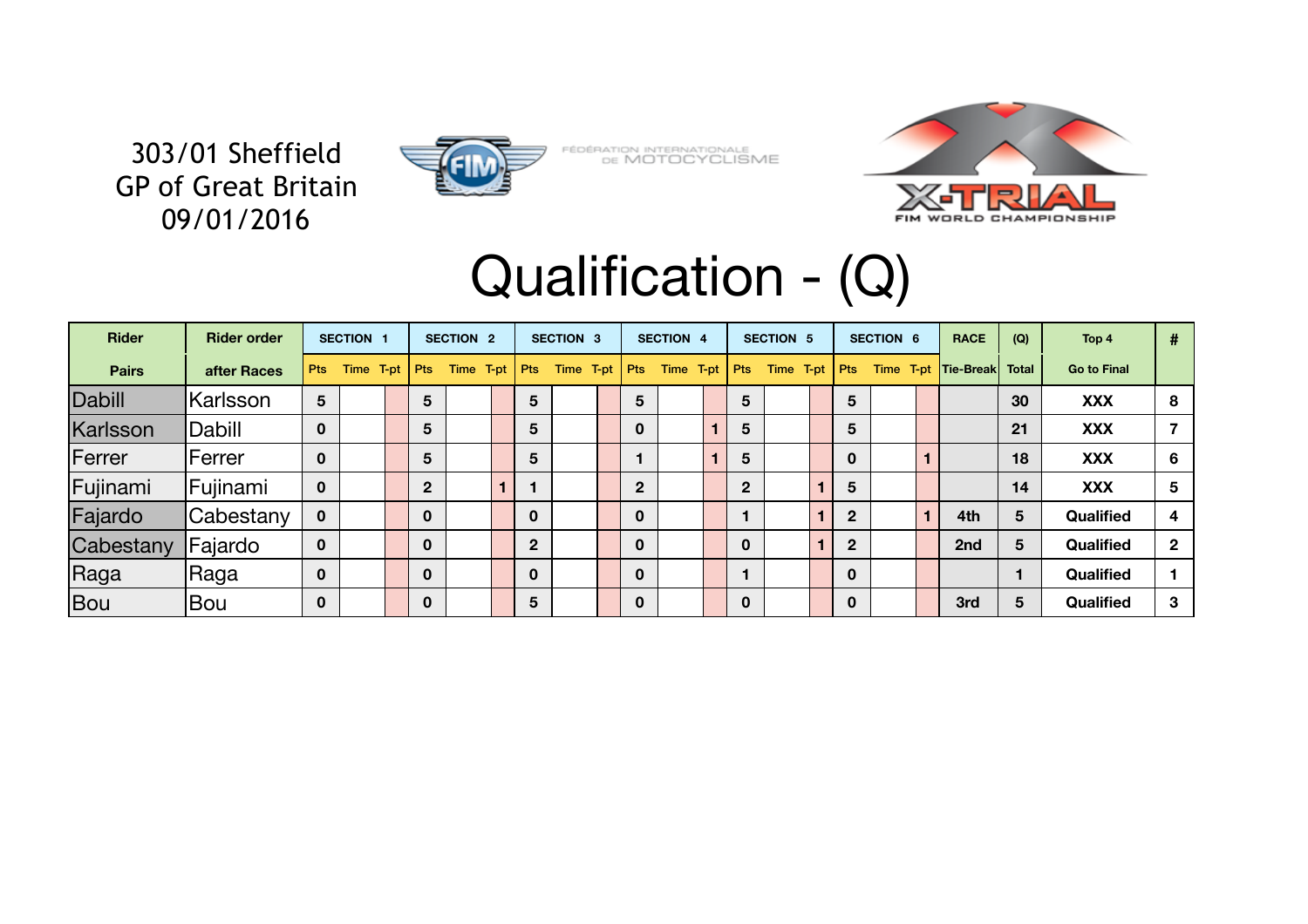

FÉDÉRATION INTERNATIONALE<br>DE MOTOCYCLISME



## Qualification - (Q)

| <b>Rider</b> | <b>Rider order</b> |                | <b>SECTION 1</b> |  | <b>SECTION 2</b> |  | <b>SECTION 3</b> |  | <b>SECTION 4</b> |              | <b>SECTION 5</b> |           | <b>SECTION 6</b> |         | <b>RACE</b>      | (Q)              | Top 4 | #         |    |                  |                |                     |              |                    |  |
|--------------|--------------------|----------------|------------------|--|------------------|--|------------------|--|------------------|--------------|------------------|-----------|------------------|---------|------------------|------------------|-------|-----------|----|------------------|----------------|---------------------|--------------|--------------------|--|
| <b>Pairs</b> | after Races        | <b>Pts</b>     | Time T-pt        |  |                  |  |                  |  | <b>Pts</b>       | Time T-pt    | Pts              | Time T-pt |                  | $ $ Pts | Time $T$ -pt $ $ |                  | Pts   | Time T-pt |    | $ $ Pts          |                | Time T-pt Tie-Break | <b>Total</b> | <b>Go to Final</b> |  |
| Dabill       | Karlsson           | $5\phantom{1}$ |                  |  | 5                |  | 5                |  |                  | 5            |                  |           | 5                |         |                  | 5                |       |           | 30 | <b>XXX</b>       | 8              |                     |              |                    |  |
| Karlsson     | Dabill             | $\mathbf 0$    |                  |  | 5                |  | 5                |  |                  | $\mathbf 0$  |                  |           | 5                |         |                  | 5                |       |           | 21 | <b>XXX</b>       |                |                     |              |                    |  |
| Ferrer       | <b>IFerrer</b>     | $\mathbf 0$    |                  |  | 5 <sup>5</sup>   |  | 5                |  |                  |              |                  |           | 5                |         |                  | $\mathbf 0$      |       |           | 18 | <b>XXX</b>       | 6              |                     |              |                    |  |
| Fujinami     | Fujinami           | $\mathbf 0$    |                  |  | 2 <sup>1</sup>   |  |                  |  |                  | $\mathbf{2}$ |                  |           | 2 <sup>1</sup>   |         |                  | 5                |       |           | 14 | <b>XXX</b>       | 5              |                     |              |                    |  |
| Fajardo      | Cabestany          | $\mathbf 0$    |                  |  | $\mathbf 0$      |  | $\mathbf 0$      |  |                  | $\mathbf 0$  |                  |           |                  |         |                  | $\mathbf{2}$     |       | 4th       | 5  | <b>Qualified</b> | 4              |                     |              |                    |  |
| Cabestany    | Fajardo            | $\mathbf 0$    |                  |  | $\mathbf 0$      |  | $\overline{2}$   |  |                  | $\mathbf 0$  |                  |           | $\mathbf 0$      |         |                  | $\overline{2}$   |       | 2nd       | 5  | <b>Qualified</b> | $\overline{2}$ |                     |              |                    |  |
| Raga         | Raga               | $\mathbf 0$    |                  |  | $\mathbf 0$      |  | $\mathbf 0$      |  |                  | $\mathbf 0$  |                  |           |                  |         |                  | $\boldsymbol{0}$ |       |           |    | <b>Qualified</b> |                |                     |              |                    |  |
| <b>Bou</b>   | Bou                | $\mathbf 0$    |                  |  | $\mathbf 0$      |  | 5                |  |                  | $\mathbf 0$  |                  |           | $\mathbf 0$      |         |                  | $\mathbf 0$      |       | 3rd       | 5  | <b>Qualified</b> | 3              |                     |              |                    |  |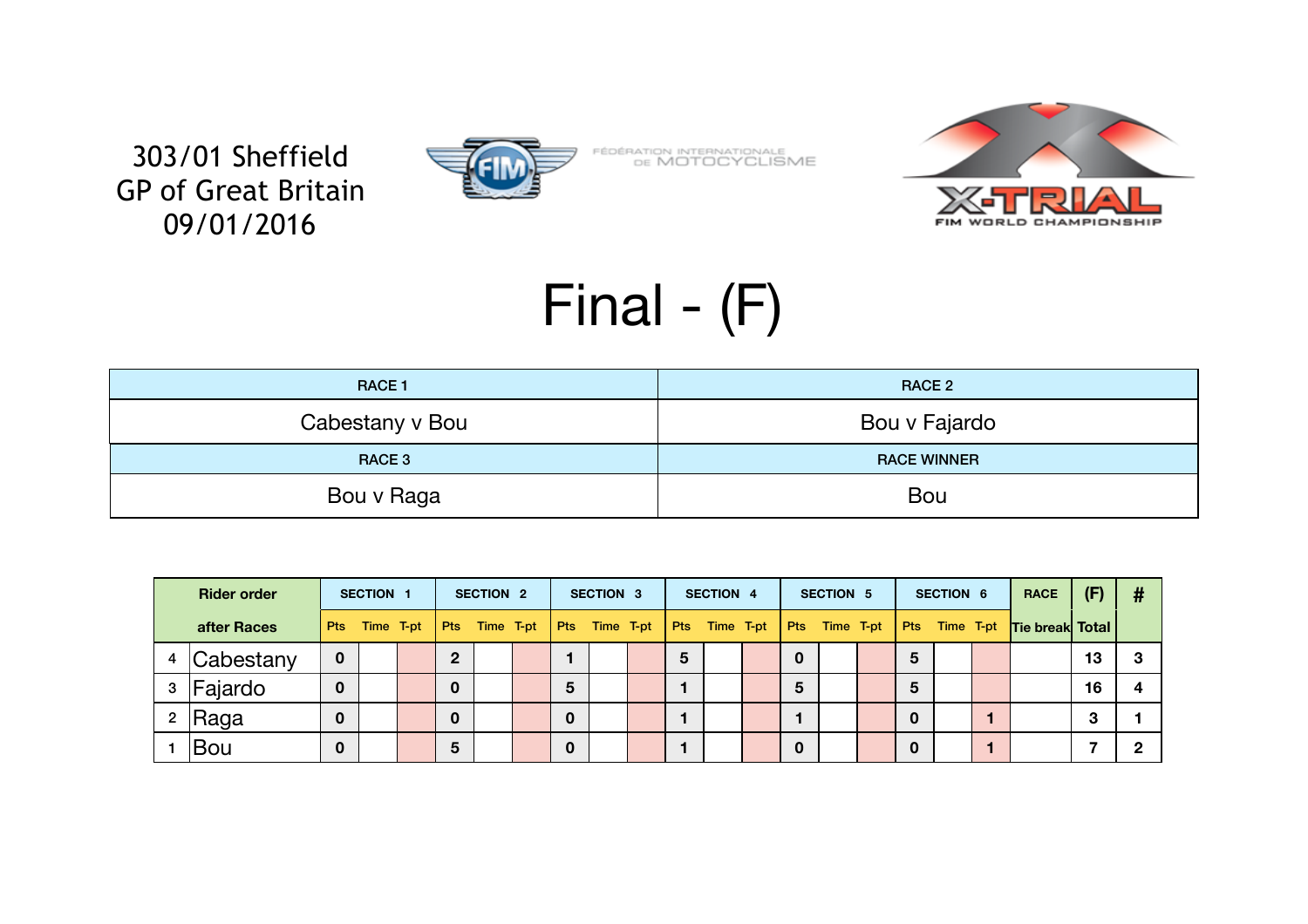

FÉDÉRATION INTERNATIONALE<br>DE MOTOCYCLISME



# Final - (F)

| <b>RACE 1</b>   | <b>RACE 2</b>      |
|-----------------|--------------------|
| Cabestany v Bou | Bou v Fajardo      |
| RACE 3          | <b>RACE WINNER</b> |
| Bou v Raga      | Bou                |

| <b>Rider order</b> |             | SECTION 1   |  |                 | <b>SECTION 2</b> |                 |  | <b>SECTION 3</b> |                 | <b>SECTION 4</b> |   | <b>SECTION 5</b>                |  |                | <b>SECTION 6</b> |  |             | <b>RACE</b> | (F) | #                         |    |  |
|--------------------|-------------|-------------|--|-----------------|------------------|-----------------|--|------------------|-----------------|------------------|---|---------------------------------|--|----------------|------------------|--|-------------|-------------|-----|---------------------------|----|--|
|                    | after Races | Pts         |  | Time T-pt   Pts |                  | Time T-pt   Pts |  |                  | Time T-pt   Pts |                  |   | Time T-pt   Pts Time T-pt   Pts |  |                |                  |  |             |             |     | Time T-pt Tie break Total |    |  |
|                    | Cabestany   | 0           |  |                 | $\overline{2}$   |                 |  |                  |                 |                  | 5 |                                 |  | $\mathbf 0$    |                  |  | 5           |             |     |                           | 13 |  |
| 3                  | Fajardo     | $\mathbf 0$ |  |                 | $\mathbf 0$      |                 |  | 5                |                 |                  |   |                                 |  | $5\phantom{1}$ |                  |  | 5           |             |     |                           | 16 |  |
|                    | Raga        | $\mathbf 0$ |  |                 | $\mathbf 0$      |                 |  | $\mathbf 0$      |                 |                  |   |                                 |  |                |                  |  | $\mathbf 0$ |             |     |                           | 3  |  |
|                    | Bou         | 0           |  |                 | 5                |                 |  | $\mathbf 0$      |                 |                  |   |                                 |  | $\mathbf 0$    |                  |  | $\mathbf 0$ |             | 1   |                           |    |  |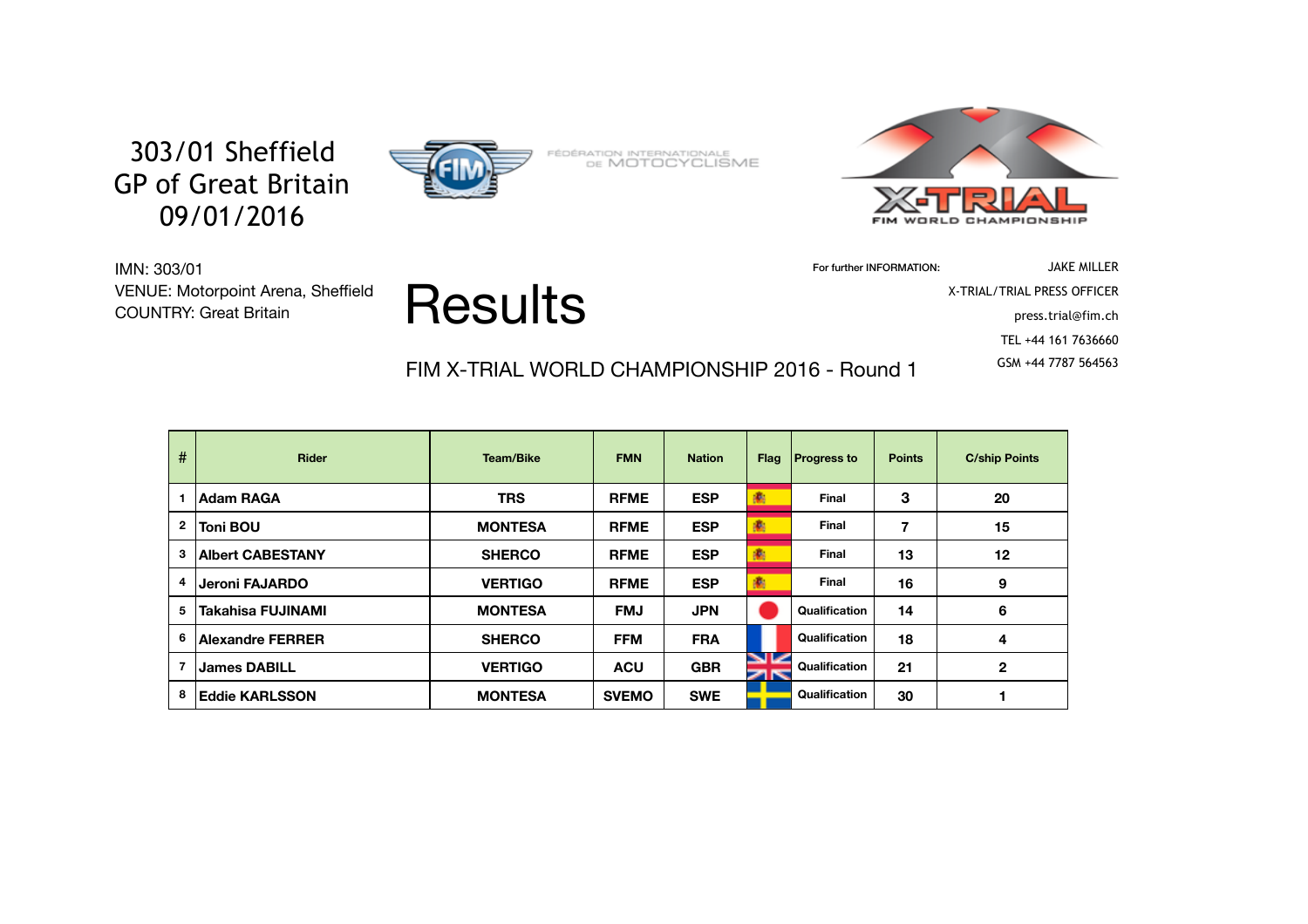

FÉDÉRATION INTERNATIONALE<br>DE MOTOCYCLISME



For further INFORMATION: JAKE MILLER X-TRIAL/TRIAL PRESS OFFICER press.trial@fim.ch TEL +44 161 7636660

FIM X-TRIAL WORLD CHAMPIONSHIP 2016 - Round 1 6SM +44 7787 564563

Results

IMN: 303/01 VENUE: Motorpoint Arena, Sheffield COUNTRY: Great Britain

| #              | <b>Rider</b>             | <b>Team/Bike</b> | <b>FMN</b>   | <b>Nation</b> | <b>Flag</b> | <b>Progress to</b> | <b>Points</b> | <b>C/ship Points</b> |
|----------------|--------------------------|------------------|--------------|---------------|-------------|--------------------|---------------|----------------------|
|                | <b>Adam RAGA</b>         | <b>TRS</b>       | <b>RFME</b>  | <b>ESP</b>    | 衞           | <b>Final</b>       | 3             | 20                   |
| $\mathbf 2$    | Toni BOU                 | <b>MONTESA</b>   | <b>RFME</b>  | <b>ESP</b>    |             | <b>Final</b>       | 7             | 15                   |
| 3              | <b>Albert CABESTANY</b>  | <b>SHERCO</b>    | <b>RFME</b>  | <b>ESP</b>    | 衞           | <b>Final</b>       | 13            | 12                   |
| 4              | Jeroni FAJARDO           | <b>VERTIGO</b>   | <b>RFME</b>  | <b>ESP</b>    |             | <b>Final</b>       | 16            | 9                    |
| 5              | <b>Takahisa FUJINAMI</b> | <b>MONTESA</b>   | <b>FMJ</b>   | <b>JPN</b>    |             | Qualification      | 14            | $6\phantom{1}6$      |
| 6              | <b>Alexandre FERRER</b>  | <b>SHERCO</b>    | <b>FFM</b>   | <b>FRA</b>    |             | Qualification      | 18            | 4                    |
| $\overline{7}$ | <b>James DABILL</b>      | <b>VERTIGO</b>   | <b>ACU</b>   | <b>GBR</b>    | K           | Qualification      | 21            | $\mathbf{2}$         |
| 8              | <b>Eddie KARLSSON</b>    | <b>MONTESA</b>   | <b>SVEMO</b> | <b>SWE</b>    |             | Qualification      | 30            |                      |